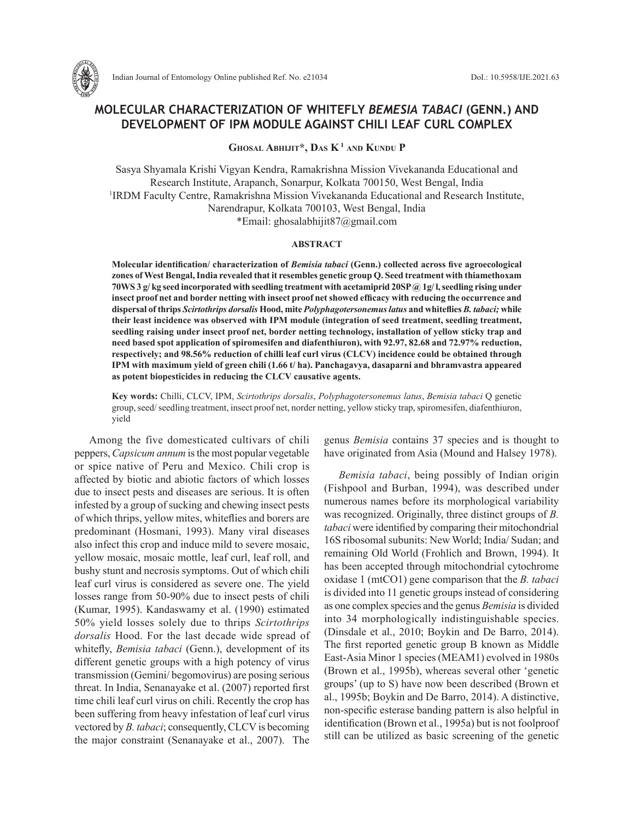

# **MOLECULAR CHARACTERIZATION OF WHITEFLY** *BEMESIA TABACI* **(GENN.) AND DEVELOPMENT OF IPM MODULE AGAINST CHILI LEAF CURL COMPLEX**

**Ghosal Abhijit\*, Das K 1 and Kundu P**

Sasya Shyamala Krishi Vigyan Kendra, Ramakrishna Mission Vivekananda Educational and Research Institute, Arapanch, Sonarpur, Kolkata 700150, West Bengal, India <sup>1</sup>IRDM Faculty Centre, Ramakrishna Mission Vivekananda Educational and Research Institute, Narendrapur, Kolkata 700103, West Bengal, India \*Email: ghosalabhijit87@gmail.com

## **ABSTRACT**

**Molecular identification/ characterization of** *Bemisia tabaci* **(Genn.) collected across five agroecological zones of West Bengal, India revealed that it resembles genetic group Q. Seed treatment with thiamethoxam 70WS 3 g/ kg seed incorporated with seedling treatment with acetamiprid 20SP @ 1g/ l, seedling rising under insect proof net and border netting with insect proof net showed efficacy with reducing the occurrence and dispersal of thrips** *Scirtothrips dorsalis* **Hood, mite** *Polyphagotersonemus latus* **and whiteflies** *B. tabaci;* **while their least incidence was observed with IPM module (integration of seed treatment, seedling treatment, seedling raising under insect proof net, border netting technology, installation of yellow sticky trap and need based spot application of spiromesifen and diafenthiuron), with 92.97, 82.68 and 72.97% reduction, respectively; and 98.56% reduction of chilli leaf curl virus (CLCV) incidence could be obtained through IPM with maximum yield of green chili (1.66 t/ ha). Panchagavya, dasaparni and bhramvastra appeared as potent biopesticides in reducing the CLCV causative agents.**

**Key words:** Chilli, CLCV, IPM, *Scirtothrips dorsalis*, *Polyphagotersonemus latus*, *Bemisia tabaci* Q genetic group, seed/ seedling treatment, insect proof net, norder netting, yellow sticky trap, spiromesifen, diafenthiuron, yield

Among the five domesticated cultivars of chili peppers, *Capsicum annum* is the most popular vegetable or spice native of Peru and Mexico. Chili crop is affected by biotic and abiotic factors of which losses due to insect pests and diseases are serious. It is often infested by a group of sucking and chewing insect pests of which thrips, yellow mites, whiteflies and borers are predominant (Hosmani, 1993). Many viral diseases also infect this crop and induce mild to severe mosaic, yellow mosaic, mosaic mottle, leaf curl, leaf roll, and bushy stunt and necrosis symptoms. Out of which chili leaf curl virus is considered as severe one. The yield losses range from 50-90% due to insect pests of chili (Kumar, 1995). Kandaswamy et al. (1990) estimated 50% yield losses solely due to thrips *Scirtothrips dorsalis* Hood. For the last decade wide spread of whitefly, *Bemisia tabaci* (Genn.), development of its different genetic groups with a high potency of virus transmission (Gemini/ begomovirus) are posing serious threat. In India, Senanayake et al. (2007) reported first time chili leaf curl virus on chili. Recently the crop has been suffering from heavy infestation of leaf curl virus vectored by *B. tabaci*; consequently, CLCV is becoming the major constraint (Senanayake et al., 2007). The genus *Bemisia* contains 37 species and is thought to have originated from Asia (Mound and Halsey 1978).

*Bemisia tabaci*, being possibly of Indian origin (Fishpool and Burban, 1994), was described under numerous names before its morphological variability was recognized. Originally, three distinct groups of *B. tabaci* were identified by comparing their mitochondrial 16S ribosomal subunits: New World; India/ Sudan; and remaining Old World (Frohlich and Brown, 1994). It has been accepted through mitochondrial cytochrome oxidase 1 (mtCO1) gene comparison that the *B. tabaci* is divided into 11 genetic groups instead of considering as one complex species and the genus *Bemisia* is divided into 34 morphologically indistinguishable species. (Dinsdale et al., 2010; Boykin and De Barro, 2014). The first reported genetic group B known as Middle East-Asia Minor 1 species (MEAM1) evolved in 1980s (Brown et al., 1995b), whereas several other 'genetic groups' (up to S) have now been described (Brown et al., 1995b; Boykin and De Barro, 2014). A distinctive, non-specific esterase banding pattern is also helpful in identification (Brown et al., 1995a) but is not foolproof still can be utilized as basic screening of the genetic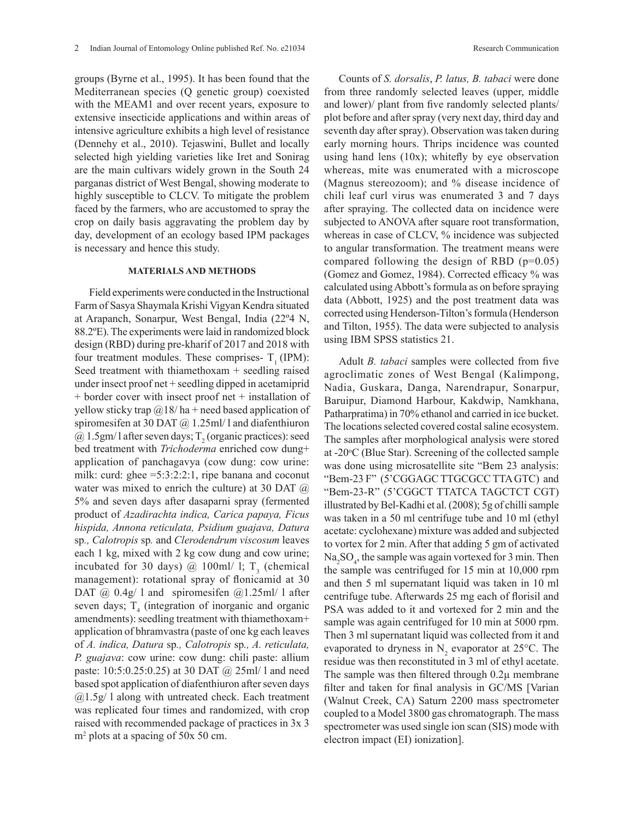groups (Byrne et al., 1995). It has been found that the Mediterranean species (Q genetic group) coexisted with the MEAM1 and over recent years, exposure to extensive insecticide applications and within areas of intensive agriculture exhibits a high level of resistance (Dennehy et al., 2010). Tejaswini, Bullet and locally selected high yielding varieties like Iret and Sonirag

are the main cultivars widely grown in the South 24 parganas district of West Bengal, showing moderate to highly susceptible to CLCV. To mitigate the problem faced by the farmers, who are accustomed to spray the crop on daily basis aggravating the problem day by day, development of an ecology based IPM packages is necessary and hence this study.

# **MATERIALS AND METHODS**

Field experiments were conducted in the Instructional Farm of Sasya Shaymala Krishi Vigyan Kendra situated at Arapanch, Sonarpur, West Bengal, India (22º4 N, 88.2ºE). The experiments were laid in randomized block design (RBD) during pre-kharif of 2017 and 2018 with four treatment modules. These comprises-  $T_1$  (IPM): Seed treatment with thiamethoxam + seedling raised under insect proof net + seedling dipped in acetamiprid + border cover with insect proof net + installation of yellow sticky trap  $\omega$ 18/ ha + need based application of spiromesifen at 30 DAT  $@$  1.25ml/ l and diafenthiuron  $\omega$  1.5gm/1 after seven days; T<sub>2</sub> (organic practices): seed bed treatment with *Trichoderma* enriched cow dung+ application of panchagavya (cow dung: cow urine: milk: curd: ghee = 5:3:2:2:1, ripe banana and coconut water was mixed to enrich the culture) at 30 DAT  $@$ 5% and seven days after dasaparni spray (fermented product of *Azadirachta indica, Carica papaya, Ficus hispida, Annona reticulata, Psidium guajava, Datura*  sp*., Calotropis* sp*.* and *Clerodendrum viscosum* leaves each 1 kg, mixed with 2 kg cow dung and cow urine; incubated for 30 days)  $@$  100ml/ 1; T<sub>3</sub> (chemical management): rotational spray of flonicamid at 30 DAT  $\omega$  0.4g/ l and spiromesifen  $\omega$ 1.25ml/ l after seven days;  $T_4$  (integration of inorganic and organic amendments): seedling treatment with thiamethoxam+ application of bhramvastra (paste of one kg each leaves of *A. indica, Datura* sp*., Calotropis* sp*., A. reticulata, P. guajava*: cow urine: cow dung: chili paste: allium paste: 10:5:0.25:0.25) at 30 DAT @ 25ml/ l and need based spot application of diafenthiuron after seven days  $(a)$ 1.5g/ l along with untreated check. Each treatment was replicated four times and randomized, with crop raised with recommended package of practices in 3x 3 m<sup>2</sup> plots at a spacing of 50x 50 cm.

Counts of *S. dorsalis*, *P. latus, B. tabaci* were done from three randomly selected leaves (upper, middle and lower)/ plant from five randomly selected plants/ plot before and after spray (very next day, third day and seventh day after spray). Observation was taken during early morning hours. Thrips incidence was counted using hand lens (10x); whitefly by eye observation whereas, mite was enumerated with a microscope (Magnus stereozoom); and % disease incidence of chili leaf curl virus was enumerated 3 and 7 days after spraying. The collected data on incidence were subjected to ANOVA after square root transformation, whereas in case of CLCV, % incidence was subjected to angular transformation. The treatment means were compared following the design of RBD (p=0.05) (Gomez and Gomez, 1984). Corrected efficacy % was calculated using Abbott's formula as on before spraying data (Abbott, 1925) and the post treatment data was corrected using Henderson-Tilton's formula (Henderson and Tilton, 1955). The data were subjected to analysis using IBM SPSS statistics 21.

Adult *B. tabaci* samples were collected from five agroclimatic zones of West Bengal (Kalimpong, Nadia, Guskara, Danga, Narendrapur, Sonarpur, Baruipur, Diamond Harbour, Kakdwip, Namkhana, Patharpratima) in 70% ethanol and carried in ice bucket. The locations selected covered costal saline ecosystem. The samples after morphological analysis were stored at -20 °C (Blue Star). Screening of the collected sample was done using microsatellite site "Bem 23 analysis: "Bem-23 F" (5'CGGAGC TTGCGCC TTA GTC) and "Bem-23-R" (5'CGGCT TTATCA TAGCTCT CGT) illustrated by Bel-Kadhi et al. (2008); 5g of chilli sample was taken in a 50 ml centrifuge tube and 10 ml (ethyl acetate: cyclohexane) mixture was added and subjected to vortex for 2 min. After that adding 5 gm of activated  $Na<sub>2</sub>SO<sub>4</sub>$ , the sample was again vortexed for 3 min. Then the sample was centrifuged for 15 min at 10,000 rpm and then 5 ml supernatant liquid was taken in 10 ml centrifuge tube. Afterwards 25 mg each of florisil and PSA was added to it and vortexed for 2 min and the sample was again centrifuged for 10 min at 5000 rpm. Then 3 ml supernatant liquid was collected from it and evaporated to dryness in  $N_2$  evaporator at 25 $^{\circ}$ C. The residue was then reconstituted in 3 ml of ethyl acetate. The sample was then filtered through 0.2µ membrane filter and taken for final analysis in GC/MS [Varian (Walnut Creek, CA) Saturn 2200 mass spectrometer coupled to a Model 3800 gas chromatograph. The mass spectrometer was used single ion scan (SIS) mode with electron impact (EI) ionization].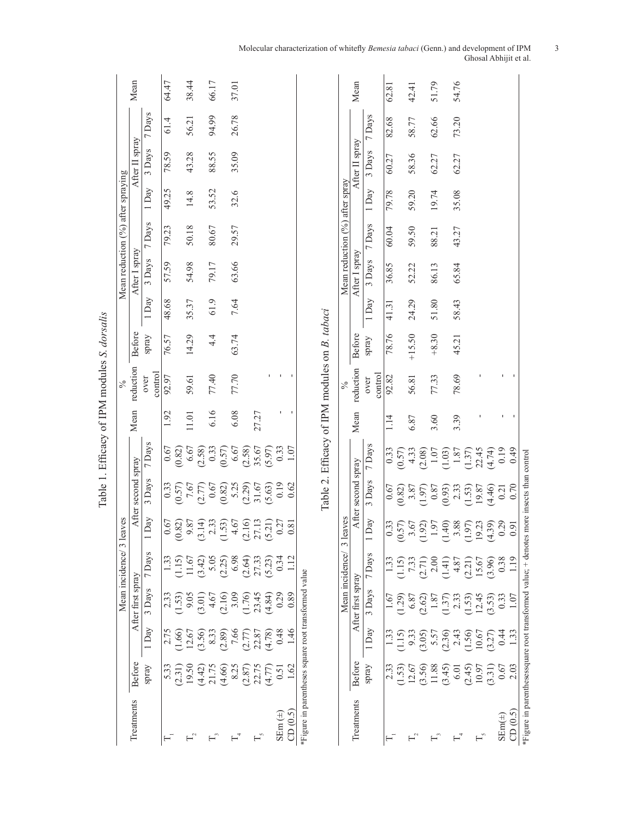|                                              |                                   | Mean               |                 | 64.47 |                                                         | 38.44     | 66.17                                                                     |        | 37.01 |        |       |        |                   |               |                                                      |                                               |                                | Mean               |                   | 62.81               |                     | 42.41                                                                                                                                                                                                                                                                                                               |                   | 51.79                                                                              |                  | 54.76            |                                 |       |                 |
|----------------------------------------------|-----------------------------------|--------------------|-----------------|-------|---------------------------------------------------------|-----------|---------------------------------------------------------------------------|--------|-------|--------|-------|--------|-------------------|---------------|------------------------------------------------------|-----------------------------------------------|--------------------------------|--------------------|-------------------|---------------------|---------------------|---------------------------------------------------------------------------------------------------------------------------------------------------------------------------------------------------------------------------------------------------------------------------------------------------------------------|-------------------|------------------------------------------------------------------------------------|------------------|------------------|---------------------------------|-------|-----------------|
|                                              |                                   |                    | 7 Days          | 61.4  |                                                         | 56.21     | 94.99                                                                     |        | 26.78 |        |       |        |                   |               |                                                      |                                               |                                |                    | 7 Days            | 82.68               |                     | 58.77                                                                                                                                                                                                                                                                                                               |                   | 62.66                                                                              |                  | 73.20            |                                 |       |                 |
|                                              |                                   | After II spray     | 3 Days          | 78.59 |                                                         | 43.28     | 88.55                                                                     |        | 35.09 |        |       |        |                   |               |                                                      |                                               |                                | After II spray     | 3 Days            | 60.27               |                     | 58.36                                                                                                                                                                                                                                                                                                               |                   | 62.27                                                                              |                  | 62.27            |                                 |       |                 |
|                                              |                                   |                    | 1 Day           | 49.25 |                                                         | 14.8      | 53.52                                                                     |        | 32.6  |        |       |        |                   |               |                                                      |                                               |                                |                    | 1 Day             | 79.78               |                     | 59.20                                                                                                                                                                                                                                                                                                               |                   | 19.74                                                                              |                  | 35.08            |                                 |       |                 |
|                                              |                                   |                    | 7 Days          | 79.23 |                                                         | 50.18     | 80.67                                                                     |        | 29.57 |        |       |        |                   |               |                                                      |                                               |                                |                    | 7 Days            | 60.04               |                     | 59.50                                                                                                                                                                                                                                                                                                               |                   | 88.21                                                                              |                  | 43.27            |                                 |       |                 |
|                                              | Mean reduction (%) after spraying | After I spray      | 3 Days          | 57.59 |                                                         | 54.98     | 79.17                                                                     |        | 63.66 |        |       |        |                   |               |                                                      |                                               | Mean reduction (%) after spray | After I spray      | 3 Days            | 36.85               |                     | 52.22                                                                                                                                                                                                                                                                                                               |                   | 86.13                                                                              |                  | 65.84            |                                 |       |                 |
|                                              |                                   |                    | 1 Day           | 48.68 |                                                         | 35.37     | 61.9                                                                      |        | 7.64  |        |       |        |                   |               |                                                      |                                               |                                |                    | 1 Day             | 41.31               |                     | 24.29                                                                                                                                                                                                                                                                                                               |                   | 51.80                                                                              |                  | 58.43            |                                 |       |                 |
|                                              |                                   | <b>Before</b>      | spray           | 76.57 |                                                         | 14.29     | $4\frac{4}{1}$                                                            |        | 63.74 |        |       |        |                   |               |                                                      |                                               |                                | <b>Before</b>      | spray             | 78.76               |                     | $+15.50$                                                                                                                                                                                                                                                                                                            |                   | $+8.30$                                                                            |                  | 45.21            |                                 |       |                 |
| Table 1. Efficacy of IPM modules S. dorsalis | $\%$                              | reduction          | control<br>over | 92.97 |                                                         | 59.61     | 77.40                                                                     |        | 77.70 |        |       |        |                   |               |                                                      | Table 2. Efficacy of IPM modules on B. tabaci | $\frac{6}{6}$                  | reduction          | control<br>over   | 92.82               |                     | 56.81                                                                                                                                                                                                                                                                                                               |                   | 77.33                                                                              |                  | 78.69            |                                 |       |                 |
|                                              |                                   | Mean               |                 | 1.92  |                                                         | $11.01\,$ | 6.16                                                                      |        | 6.08  |        | 27.27 |        | ٠                 | J.            |                                                      |                                               |                                | Mean               |                   | 114                 |                     | 6.87                                                                                                                                                                                                                                                                                                                |                   | 3.60                                                                               |                  | 3.39             |                                 |       |                 |
|                                              |                                   |                    | 7 Days          | 0.67  | $\begin{array}{c} (0.82) \\ 6.67 \\ (2.58) \end{array}$ |           |                                                                           | (0.33) | 6.67  | (2.58) | 35.67 | (5.97) | 0.33              | 1.07          |                                                      |                                               |                                |                    | 7 Days            | $\frac{0.33}{0.57}$ |                     | 4.33                                                                                                                                                                                                                                                                                                                | (2.08)            | $1.07$<br>(1.03)                                                                   |                  | $1.87$<br>(1.37) |                                 |       | 22.45<br>(4.74) |
|                                              |                                   | After second spray | 3 Days          | 0.33  |                                                         |           | $\begin{array}{c} (0.57) \\ 7.67 \\ (2.77) \\ 0.67 \\ (0.82) \end{array}$ |        | 5.25  | (2.29) | 31.67 | (5.63) | 0.19              | 0.62          |                                                      |                                               |                                | After second spray | 3 Days            | 0.67                | $(0.82)$<br>3.87    |                                                                                                                                                                                                                                                                                                                     | (1.97)            | $0.87\,$                                                                           | (6.0, 0)         |                  | 2.33<br>(1.53)<br>19.87         |       | (4.46)          |
|                                              | eaves                             |                    | $1$ Day         | 0.67  | (0.82)                                                  | 9.87      | $3.14$ )<br>2.33                                                          | (1.53) | 4.67  | 2.16   | 27.13 | (5.21) | 0.27              | 0.81          |                                                      |                                               | leaves<br>3                    |                    | $_{\mathrm{Day}}$ | 0.33                | (0.57)              | 3.67                                                                                                                                                                                                                                                                                                                | (1.92)            | 1.97                                                                               | (1.40)           | 3.88             | (1.97)                          | 19.23 | 4.39)           |
|                                              | Mean incidence/3                  |                    | 7 Days          | 1.33  |                                                         |           | $(1.15)$<br>$11.67$<br>$(3.42)$<br>$5.05$<br>$(2.25)$                     |        | 6.98  | (2.64) | 27.33 | (5.23) | 0.34              | $\frac{2}{1}$ |                                                      |                                               | Mean incidence/                |                    | 7 Days            |                     |                     | $\begin{array}{c} 1.33 \\[-4pt] 1.5) \\[-4pt] 7.33 \\[-4pt] 2.00 \\[-4pt] 2.00 \\[-4pt] 2.01 \\[-4pt] 4.87 \\[-4pt] 5.67 \\[-4pt] 1.5.67 \\[-4pt] 1.5.67 \\[-4pt] 1.5.67 \\[-4pt] 1.5.67 \\[-4pt] 1.5.67 \\[-4pt] 1.5.67 \\[-4pt] 1.5.67 \\[-4pt] 1.5.67 \\[-4pt] 1.5.67 \\[-4pt] 1.5.67 \\[-4pt] 1.5.67 \\[-4pt] $ |                   |                                                                                    |                  |                  |                                 |       |                 |
|                                              |                                   | After first spray  | 3 Days          | 2.33  |                                                         |           | $\begin{array}{c} (1.53) \\ 9.05 \\ (3.01) \\ 4.67 \end{array}$           | (2.16) | 3.09  | (1.76) | 23.45 | (4.84) | 0.29              | 0.89          |                                                      |                                               |                                | After first spray  | 3 Days            | $1.67$<br>1.29)     |                     | $6.87$<br>(2.62)                                                                                                                                                                                                                                                                                                    |                   | $\frac{1.87}{1.37}$<br>$\frac{2.33}{2.33}$<br>$\frac{12.45}{12.45}$                |                  |                  |                                 |       |                 |
|                                              |                                   |                    | 1 Day           | 2.75  | $(1.66)$<br>$12.67$<br>$(3.56)$                         |           |                                                                           | (2.89) | 7.66  | (2.77) | 22.87 | (4.78) | 0.48              | 1.46          |                                                      |                                               |                                |                    | 1 Day             | 1.33                | 1.15                | 9.33<br>3.05)                                                                                                                                                                                                                                                                                                       |                   | $\begin{array}{c} 5.57 \\ (2.36) \\ 2.43 \\ (1.56) \\ 10.67 \\ (3.27) \end{array}$ |                  |                  |                                 |       |                 |
|                                              |                                   | Before             | spray           | 5.33  | $(2.31)$<br>19.50                                       |           | $(4.42)$<br>21.75                                                         | (4.66) | 8.25  | (2.87) | 22.75 | (4.77) | 0.51              | 1.62          |                                                      |                                               |                                | Before             | spray             | 2.33                | $(1.53)$<br>$12.67$ |                                                                                                                                                                                                                                                                                                                     | $(3.56)$<br>11.88 |                                                                                    | $(3.45)$<br>6.01 |                  | $(2.45)$<br>$10.97$<br>$(3.31)$ |       |                 |
|                                              |                                   | Treatments         |                 |       |                                                         |           |                                                                           |        |       |        |       |        | $\text{SEm}(\pm)$ | CD(0.5)       | *Figure in parentheses square root transformed value |                                               |                                | Treatments         |                   | $\vdash$            |                     |                                                                                                                                                                                                                                                                                                                     |                   | $\mathrel{\sqsubseteq}^{\mathrel{\circ}}$                                          |                  | $\mathbb{H}^4$   |                                 | T,    |                 |

#### Molecular characterization of whitefly *Bemesia tabaci* (Genn.) and development of IPM 3 Ghosal Abhijit et al.

SEm(±) 0.67 0.44 0.33 0.38 0.29 0.21 0.19 - - CD (0.5) 2.03 1.33 1.07 1.19 0.91 0.70 0.49 - -

 $\mathbf{I}$ 

 $\bar{\mathbf{r}}$  $\bar{1}$ 

\*Figure in parenthesessquare root transformed value; + denotes more insects than control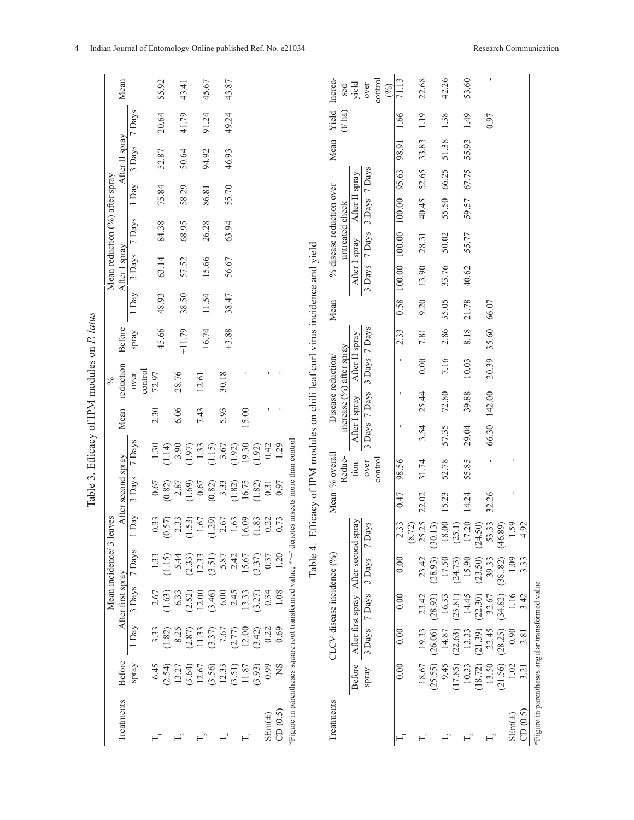| 1 Day<br>3.33<br>8.25<br>11.33<br>(3.37)<br>7.67<br>(1.82)<br>(2.87)<br>Before<br>Spray<br>6.45<br>(2.54)<br>(3.64)<br>12.33<br>12.67<br>(3.56)<br>13.27<br>Treatments |                   |                             |                                 |                    |                     |               |                                                |                |               |       |               |                                             |                |        |                |                 |                        |
|------------------------------------------------------------------------------------------------------------------------------------------------------------------------|-------------------|-----------------------------|---------------------------------|--------------------|---------------------|---------------|------------------------------------------------|----------------|---------------|-------|---------------|---------------------------------------------|----------------|--------|----------------|-----------------|------------------------|
|                                                                                                                                                                        | After first spray | Mean incidence/             | 3 leaves                        | After second spray |                     | Mean          | reduction<br>$\frac{6}{6}$                     |                | <b>Before</b> |       | After I spray | Mean reduction $(^{9}_{0})$ after spray     |                |        | After II spray |                 | Mean                   |
|                                                                                                                                                                        | 3 Days            | 7 Days                      | Day<br>$\overline{\phantom{0}}$ | 3 Days             | 7 Days              |               | control<br>over                                |                | spray         | 1 Day | 3 Days        | 7 Days                                      | 1 Day          |        | 3 Days         | 7 Days          |                        |
|                                                                                                                                                                        | 2.67<br>(1.63)    | 1.33<br>(1.15)              | 0.33<br>(0.57)                  | 0.67<br>(0.82)     | 1.30<br>1.14        | 2.30          | 72.97                                          |                | 45.66         | 48.93 | 63.14         | 84.38                                       | 75.84          |        | 52.87          | 20.64           | 55.92                  |
|                                                                                                                                                                        | 6.33              | 5.44                        | 2.33                            | (1.69)<br>2.87     | 3.90<br>(1.97)      | 6.06          | 28.76                                          |                | $+11.79$      | 38.50 | 57.52         | 68.95                                       | 58.29          |        | 50.64          | 41.79           | 43.41                  |
|                                                                                                                                                                        | 12.00<br>(2.52)   | (2.33)<br>12.33             | 1.67<br>.53)                    | 0.67               | 1.33                | 7.43          | 12.61                                          |                | $+6.74$       | 11.54 | 15.66         | 26.28                                       | 86.81          |        | 94.92          | 91.24           | 45.67                  |
|                                                                                                                                                                        | $(3.46)$<br>6.00  | 5.87<br>(3.51)              | 2.67<br>(62)                    | 3.33<br>0.82)      | 3.67<br>(1.15)      | 5.93          | 30.18                                          |                |               |       |               |                                             |                |        |                |                 |                        |
| (2.77)<br>(3.51)                                                                                                                                                       | 2.45              | 2.42                        | 1.63                            | 1.82)              | (1.92)              |               |                                                |                | $+3.88$       | 38.47 | 56.67         | 63.94                                       | 55.70          |        | 46.93          | 49.24           | 43.87                  |
| 12.00<br>11.87                                                                                                                                                         | 13.33             | 15.67                       | 16.09                           | 16.75              | 19.30               | 15.00         |                                                |                |               |       |               |                                             |                |        |                |                 |                        |
| 0.22<br>(3.42)<br>0.99<br>(3.93)                                                                                                                                       | 0.34<br>(3.27)    | 0.37<br>(3.37)              | 0.22<br>(1.83)                  | 1.82<br>0.31       | 0.42<br>(1.92)      |               |                                                | ٠              |               |       |               |                                             |                |        |                |                 |                        |
| 0.69<br>SN                                                                                                                                                             | 1.08              | 1.20                        | 0.73                            | 0.97               | 1.29                |               |                                                | I.             |               |       |               |                                             |                |        |                |                 |                        |
| Treatments                                                                                                                                                             |                   | CLCV disease incidence $(%$ |                                 | Mean               | % overall<br>Reduc- |               | increase (%) after spray<br>Disease reduction/ |                |               | Mean  |               | % disease reduction over<br>untreated check |                |        | Mean           | Yield<br>(t/ha) | Increa-<br>sed         |
| Before                                                                                                                                                                 | After first spray | After second spray          |                                 |                    | tion                | After I spray |                                                | After II spray |               |       | After I spray |                                             | After II spray |        |                |                 | yield                  |
| 3 Days<br>spray                                                                                                                                                        | 7 Days            | 3 Days                      | 7 Days                          |                    | control<br>over     | 3 Days 7 Days |                                                | 3 Days 7 Days  |               |       | 3 Days        | 7 Days                                      | 3 Days         | 7 Days |                |                 | control<br>over<br>(%) |
| 0.00<br>0.00                                                                                                                                                           | 0.00              | 0.00                        | 2.33<br>72)<br>$\infty$         | 0.47               | 98.56               |               | J.                                             | $\blacksquare$ | 2.33          | 0.58  | 100.00        | 100.00                                      | 100.00         | 95.63  | 98.91          | 1.66            | 71.13                  |
| 19.33<br>18.67                                                                                                                                                         | 23.42             | 23.42                       | 25.25                           | 22.02              | 31.74               | 3.54          | 25.44                                          | 0.00           | 7.81          | 9.20  | 13.90         | 28.31                                       | 40.45          | 52.65  | 33.83          | 1.19            | 22.68                  |
| (26.06)<br>14.87<br>9.45<br>(25.55)                                                                                                                                    | 16.33<br>(28.93)  | 17.50<br>(28.93)            | 18.00<br>(30.13)                | 15.23              | 52.78               | 57.35         | 72.80                                          | 7.16           | 2.86          | 35.05 | 33.76         | 50.02                                       | 55.50          | 66.25  | 51.38          | 1.38            | 42.26                  |
| (22.63)<br>(17.85)                                                                                                                                                     | (23.81)           | (24.73)                     | $(25.1)$<br>17.20               |                    |                     |               |                                                |                |               |       |               |                                             |                |        |                |                 |                        |
| 13.33<br>10.33                                                                                                                                                         | 14.45             | 15.90                       |                                 | 14.24              | 55.85               | 29.04         | 39.88                                          | 10.03          | 8.18          | 21.78 | 40.62         | 55.77                                       | 59.57          | 67.75  | 55.93          | 1.49            | 53.60                  |
| 22.45<br>(21.39)<br>13.50<br>(18.72)                                                                                                                                   | 32.67<br>(22.30)  | (23.50)<br>39.33            | 53.33<br>(24.50)                | 32.26              | $\mathbf{I}$        | 66.30 142.00  |                                                | 20.39          | 35.60         | 66.07 |               |                                             |                |        |                | 0.97            |                        |
| (28.25)<br>(21.56)                                                                                                                                                     | (34.82)           | (38.82)                     | (46.89)                         |                    |                     |               |                                                |                |               |       |               |                                             |                |        |                |                 |                        |
| 0.90<br>1.02                                                                                                                                                           | 1.16              | 1.09                        | 59                              |                    |                     |               |                                                |                |               |       |               |                                             |                |        |                |                 |                        |
| 2.81<br>3.21                                                                                                                                                           | 3.42              | 3.33                        | 4.92                            |                    |                     |               |                                                |                |               |       |               |                                             |                |        |                |                 |                        |

4 Indian Journal of Entomology Online published Ref. No. e21034 Research Communication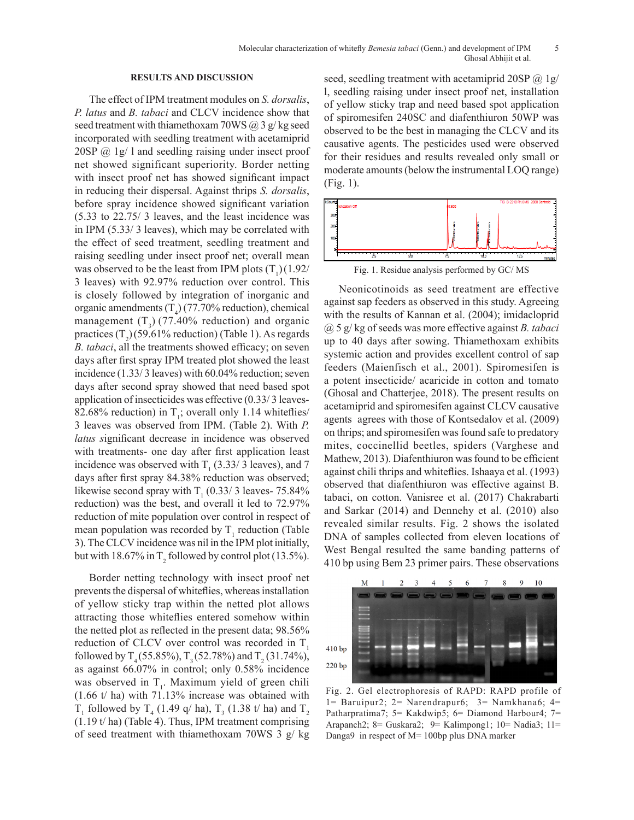### **RESULTS AND DISCUSSION**

The effect of IPM treatment modules on *S. dorsalis*, *P. latus* and *B. tabaci* and CLCV incidence show that seed treatment with thiamethoxam 70WS  $(a)$  3 g/kg seed incorporated with seedling treatment with acetamiprid  $20SP$   $@$  1g/ 1 and seedling raising under insect proof net showed significant superiority. Border netting with insect proof net has showed significant impact in reducing their dispersal. Against thrips *S. dorsalis*, before spray incidence showed significant variation (5.33 to 22.75/ 3 leaves, and the least incidence was in IPM (5.33/ 3 leaves), which may be correlated with the effect of seed treatment, seedling treatment and raising seedling under insect proof net; overall mean was observed to be the least from IPM plots  $(T_1)(1.92/$ 3 leaves) with 92.97% reduction over control. This is closely followed by integration of inorganic and organic amendments  $(T_4)$  (77.70% reduction), chemical management  $(T_3)$  (77.40% reduction) and organic practices  $(T_2)$ (59.61% reduction) (Table 1). As regards *B. tabaci*, all the treatments showed efficacy; on seven days after first spray IPM treated plot showed the least incidence (1.33/ 3 leaves) with 60.04% reduction; seven days after second spray showed that need based spot application of insecticides was effective (0.33/ 3 leaves-82.68% reduction) in  $T<sub>1</sub>$ ; overall only 1.14 whiteflies/ 3 leaves was observed from IPM. (Table 2). With *P. latus s*ignificant decrease in incidence was observed with treatments- one day after first application least incidence was observed with  $T_1$  (3.33/3 leaves), and 7 days after first spray 84.38% reduction was observed; likewise second spray with  $T_1$  (0.33/ 3 leaves- 75.84%) reduction) was the best, and overall it led to 72.97% reduction of mite population over control in respect of mean population was recorded by  $T_1$  reduction (Table 3). The CLCV incidence was nil in the IPM plot initially, but with 18.67% in  $T_2$  followed by control plot (13.5%).

Border netting technology with insect proof net prevents the dispersal of whiteflies, whereas installation of yellow sticky trap within the netted plot allows attracting those whiteflies entered somehow within the netted plot as reflected in the present data; 98.56% reduction of CLCV over control was recorded in  $T<sub>1</sub>$ followed by  $T_4$  (55.85%),  $T_3$  (52.78%) and  $T_2$  (31.74%), as against 66.07% in control; only 0.58% incidence was observed in  $T_1$ . Maximum yield of green chili (1.66 t/ ha) with 71.13% increase was obtained with  $T_1$  followed by  $T_4$  (1.49 q/ ha),  $T_3$  (1.38 t/ ha) and  $T_2$ (1.19 t/ ha) (Table 4). Thus, IPM treatment comprising of seed treatment with thiamethoxam 70WS 3 g/ kg

seed, seedling treatment with acetamiprid 20SP @ 1g/ l, seedling raising under insect proof net, installation of yellow sticky trap and need based spot application of spiromesifen 240SC and diafenthiuron 50WP was observed to be the best in managing the CLCV and its causative agents. The pesticides used were observed for their residues and results revealed only small or moderate amounts (below the instrumental LOQ range) (Fig. 1).



Fig. 1. Residue analysis performed by GC/MS

Neonicotinoids as seed treatment are effective against sap feeders as observed in this study. Agreeing with the results of Kannan et al. (2004); imidacloprid @ 5 g/ kg of seeds was more effective against *B. tabaci*  up to 40 days after sowing. Thiamethoxam exhibits systemic action and provides excellent control of sap feeders (Maienfisch et al., 2001). Spiromesifen is a potent insecticide/ acaricide in cotton and tomato (Ghosal and Chatterjee, 2018). The present results on acetamiprid and spiromesifen against CLCV causative agents agrees with those of Kontsedalov et al. (2009) on thrips; and spiromesifen was found safe to predatory mites, coccinellid beetles, spiders (Varghese and Mathew, 2013). Diafenthiuron was found to be efficient against chili thrips and whiteflies. Ishaaya et al. (1993) observed that diafenthiuron was effective against B. tabaci, on cotton. Vanisree et al. (2017) Chakrabarti and Sarkar (2014) and Dennehy et al. (2010) also revealed similar results. Fig. 2 shows the isolated DNA of samples collected from eleven locations of West Bengal resulted the same banding patterns of 410 bp using Bem 23 primer pairs. These observations



Fig. 2. Gel electrophoresis of RAPD: RAPD profile of 1= Baruipur2; 2= Narendrapur6; 3= Namkhana6; 4= Patharpratima7; 5= Kakdwip5; 6= Diamond Harbour4; 7= Arapanch2; 8= Guskara2; 9= Kalimpong1; 10= Nadia3; 11= Danga9 in respect of M= 100bp plus DNA marker